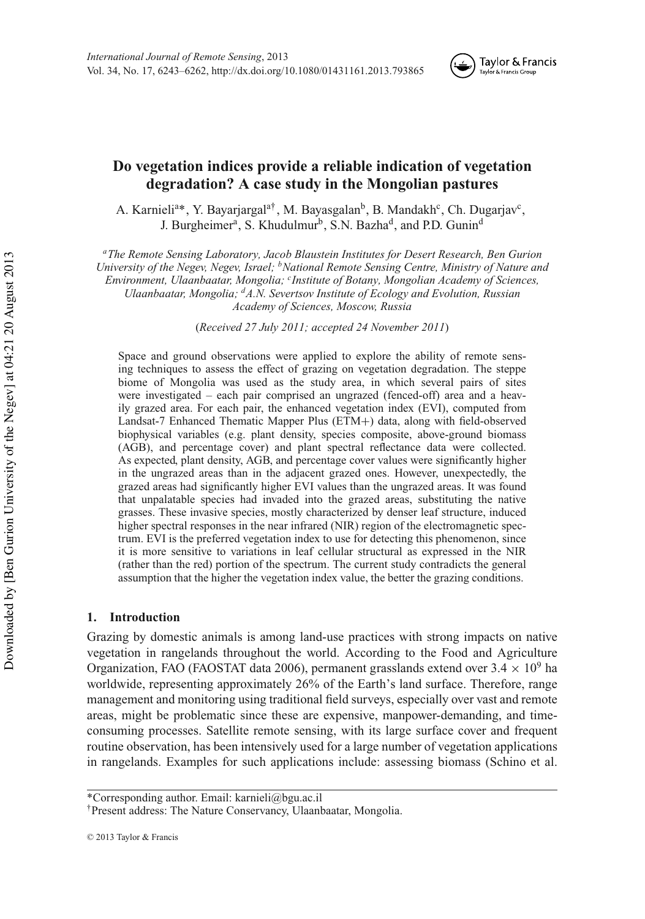

# **Do vegetation indices provide a reliable indication of vegetation degradation? A case study in the Mongolian pastures**

A. Karnieli<sup>a\*</sup>, Y. Bayarjargal<sup>a†</sup>, M. Bayasgalan<sup>b</sup>, B. Mandakh<sup>c</sup>, Ch. Dugarjav<sup>c</sup>, J. Burgheimer<sup>a</sup>, S. Khudulmur<sup>b</sup>, S.N. Bazha<sup>d</sup>, and P.D. Gunin<sup>d</sup>

*<sup>a</sup>The Remote Sensing Laboratory, Jacob Blaustein Institutes for Desert Research, Ben Gurion University of the Negev, Negev, Israel; <sup>b</sup>National Remote Sensing Centre, Ministry of Nature and Environment, Ulaanbaatar, Mongolia; <sup>c</sup> Institute of Botany, Mongolian Academy of Sciences, Ulaanbaatar, Mongolia; <sup>d</sup>A.N. Severtsov Institute of Ecology and Evolution, Russian*

*Academy of Sciences, Moscow, Russia*

(*Received 27 July 2011; accepted 24 November 2011*)

Space and ground observations were applied to explore the ability of remote sensing techniques to assess the effect of grazing on vegetation degradation. The steppe biome of Mongolia was used as the study area, in which several pairs of sites were investigated – each pair comprised an ungrazed (fenced-off) area and a heavily grazed area. For each pair, the enhanced vegetation index (EVI), computed from Landsat-7 Enhanced Thematic Mapper Plus (ETM+) data, along with field-observed biophysical variables (e.g. plant density, species composite, above-ground biomass (AGB), and percentage cover) and plant spectral reflectance data were collected. As expected, plant density, AGB, and percentage cover values were significantly higher in the ungrazed areas than in the adjacent grazed ones. However, unexpectedly, the grazed areas had significantly higher EVI values than the ungrazed areas. It was found that unpalatable species had invaded into the grazed areas, substituting the native grasses. These invasive species, mostly characterized by denser leaf structure, induced higher spectral responses in the near infrared (NIR) region of the electromagnetic spectrum. EVI is the preferred vegetation index to use for detecting this phenomenon, since it is more sensitive to variations in leaf cellular structural as expressed in the NIR (rather than the red) portion of the spectrum. The current study contradicts the general assumption that the higher the vegetation index value, the better the grazing conditions.

### **1. Introduction**

Grazing by domestic animals is among land-use practices with strong impacts on native vegetation in rangelands throughout the world. According to the Food and Agriculture Organization, FAO (FAOSTAT data 2006), permanent grasslands extend over  $3.4 \times 10^9$  ha worldwide, representing approximately 26% of the Earth's land surface. Therefore, range management and monitoring using traditional field surveys, especially over vast and remote areas, might be problematic since these are expensive, manpower-demanding, and timeconsuming processes. Satellite remote sensing, with its large surface cover and frequent routine observation, has been intensively used for a large number of vegetation applications in rangelands. Examples for such applications include: assessing biomass (Schino et al.

<sup>\*</sup>Corresponding author. Email: [karnieli@bgu.ac.il](mailto:karnieli@bgu.ac.il)

<sup>†</sup>Present address: The Nature Conservancy, Ulaanbaatar, Mongolia.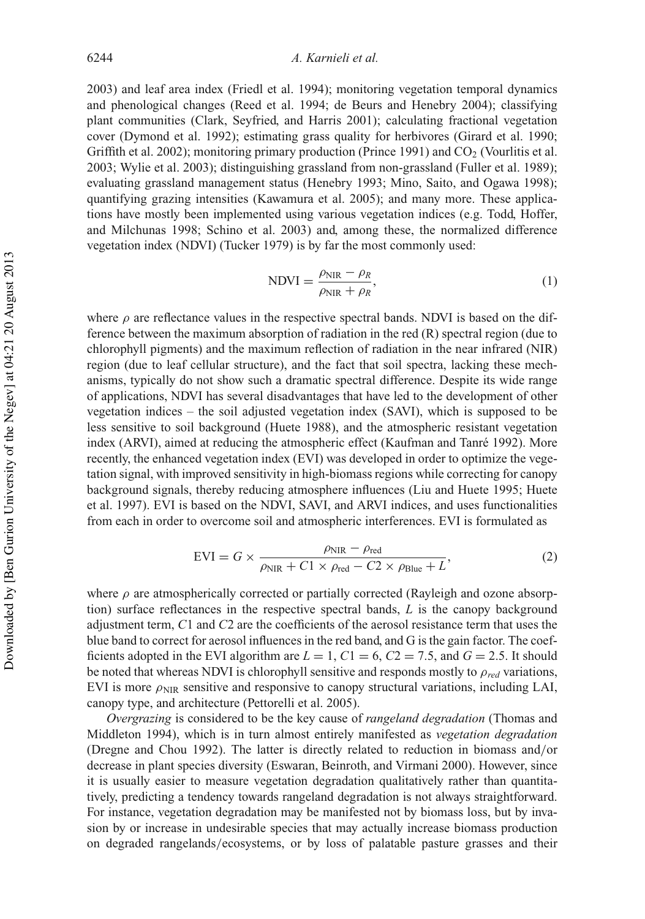2003) and leaf area index (Friedl et al. 1994); monitoring vegetation temporal dynamics and phenological changes (Reed et al. 1994; de Beurs and Henebry 2004); classifying plant communities (Clark, Seyfried, and Harris 2001); calculating fractional vegetation cover (Dymond et al. 1992); estimating grass quality for herbivores (Girard et al. 1990; Griffith et al. 2002); monitoring primary production (Prince 1991) and  $CO<sub>2</sub>$  (Vourlitis et al. 2003; Wylie et al. 2003); distinguishing grassland from non-grassland (Fuller et al. 1989); evaluating grassland management status (Henebry 1993; Mino, Saito, and Ogawa 1998); quantifying grazing intensities (Kawamura et al. 2005); and many more. These applications have mostly been implemented using various vegetation indices (e.g. Todd, Hoffer, and Milchunas 1998; Schino et al. 2003) and, among these, the normalized difference vegetation index (NDVI) (Tucker 1979) is by far the most commonly used:

$$
NDVI = \frac{\rho_{NIR} - \rho_R}{\rho_{NIR} + \rho_R},\tag{1}
$$

where  $\rho$  are reflectance values in the respective spectral bands. NDVI is based on the difference between the maximum absorption of radiation in the red (R) spectral region (due to chlorophyll pigments) and the maximum reflection of radiation in the near infrared (NIR) region (due to leaf cellular structure), and the fact that soil spectra, lacking these mechanisms, typically do not show such a dramatic spectral difference. Despite its wide range of applications, NDVI has several disadvantages that have led to the development of other vegetation indices – the soil adjusted vegetation index (SAVI), which is supposed to be less sensitive to soil background (Huete 1988), and the atmospheric resistant vegetation index (ARVI), aimed at reducing the atmospheric effect (Kaufman and Tanré 1992). More recently, the enhanced vegetation index (EVI) was developed in order to optimize the vegetation signal, with improved sensitivity in high-biomass regions while correcting for canopy background signals, thereby reducing atmosphere influences (Liu and Huete 1995; Huete et al. 1997). EVI is based on the NDVI, SAVI, and ARVI indices, and uses functionalities from each in order to overcome soil and atmospheric interferences. EVI is formulated as

$$
EVI = G \times \frac{\rho_{NIR} - \rho_{red}}{\rho_{NIR} + C1 \times \rho_{red} - C2 \times \rho_{Blue} + L},
$$
\n(2)

where  $\rho$  are atmospherically corrected or partially corrected (Rayleigh and ozone absorption) surface reflectances in the respective spectral bands, *L* is the canopy background adjustment term, *C*1 and *C*2 are the coefficients of the aerosol resistance term that uses the blue band to correct for aerosol influences in the red band, and G is the gain factor. The coefficients adopted in the EVI algorithm are  $L = 1$ ,  $C1 = 6$ ,  $C2 = 7.5$ , and  $G = 2.5$ . It should be noted that whereas NDVI is chlorophyll sensitive and responds mostly to ρ*red* variations, EVI is more  $\rho_{\text{NIR}}$  sensitive and responsive to canopy structural variations, including LAI, canopy type, and architecture (Pettorelli et al. 2005).

*Overgrazing* is considered to be the key cause of *rangeland degradation* (Thomas and Middleton 1994), which is in turn almost entirely manifested as *vegetation degradation* (Dregne and Chou 1992). The latter is directly related to reduction in biomass and/or decrease in plant species diversity (Eswaran, Beinroth, and Virmani 2000). However, since it is usually easier to measure vegetation degradation qualitatively rather than quantitatively, predicting a tendency towards rangeland degradation is not always straightforward. For instance, vegetation degradation may be manifested not by biomass loss, but by invasion by or increase in undesirable species that may actually increase biomass production on degraded rangelands/ecosystems, or by loss of palatable pasture grasses and their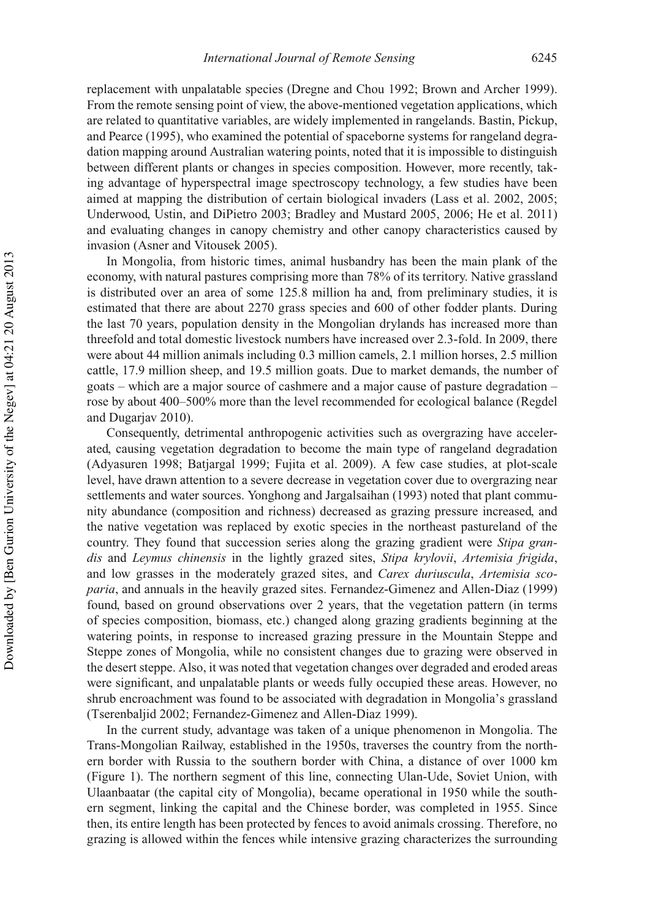replacement with unpalatable species (Dregne and Chou 1992; Brown and Archer 1999). From the remote sensing point of view, the above-mentioned vegetation applications, which are related to quantitative variables, are widely implemented in rangelands. Bastin, Pickup, and Pearce (1995), who examined the potential of spaceborne systems for rangeland degradation mapping around Australian watering points, noted that it is impossible to distinguish between different plants or changes in species composition. However, more recently, taking advantage of hyperspectral image spectroscopy technology, a few studies have been aimed at mapping the distribution of certain biological invaders (Lass et al. 2002, 2005; Underwood, Ustin, and DiPietro 2003; Bradley and Mustard 2005, 2006; He et al. 2011) and evaluating changes in canopy chemistry and other canopy characteristics caused by invasion (Asner and Vitousek 2005).

In Mongolia, from historic times, animal husbandry has been the main plank of the economy, with natural pastures comprising more than 78% of its territory. Native grassland is distributed over an area of some 125.8 million ha and, from preliminary studies, it is estimated that there are about 2270 grass species and 600 of other fodder plants. During the last 70 years, population density in the Mongolian drylands has increased more than threefold and total domestic livestock numbers have increased over 2.3-fold. In 2009, there were about 44 million animals including 0.3 million camels, 2.1 million horses, 2.5 million cattle, 17.9 million sheep, and 19.5 million goats. Due to market demands, the number of goats – which are a major source of cashmere and a major cause of pasture degradation – rose by about 400–500% more than the level recommended for ecological balance (Regdel and Dugarjav 2010).

Consequently, detrimental anthropogenic activities such as overgrazing have accelerated, causing vegetation degradation to become the main type of rangeland degradation (Adyasuren 1998; Batjargal 1999; Fujita et al. 2009). A few case studies, at plot-scale level, have drawn attention to a severe decrease in vegetation cover due to overgrazing near settlements and water sources. Yonghong and Jargalsaihan (1993) noted that plant community abundance (composition and richness) decreased as grazing pressure increased, and the native vegetation was replaced by exotic species in the northeast pastureland of the country. They found that succession series along the grazing gradient were *Stipa grandis* and *Leymus chinensis* in the lightly grazed sites, *Stipa krylovii*, *Artemisia frigida*, and low grasses in the moderately grazed sites, and *Carex duriuscula*, *Artemisia scoparia*, and annuals in the heavily grazed sites. Fernandez-Gimenez and Allen-Diaz (1999) found, based on ground observations over 2 years, that the vegetation pattern (in terms of species composition, biomass, etc.) changed along grazing gradients beginning at the watering points, in response to increased grazing pressure in the Mountain Steppe and Steppe zones of Mongolia, while no consistent changes due to grazing were observed in the desert steppe. Also, it was noted that vegetation changes over degraded and eroded areas were significant, and unpalatable plants or weeds fully occupied these areas. However, no shrub encroachment was found to be associated with degradation in Mongolia's grassland (Tserenbaljid 2002; Fernandez-Gimenez and Allen-Diaz 1999).

In the current study, advantage was taken of a unique phenomenon in Mongolia. The Trans-Mongolian Railway, established in the 1950s, traverses the country from the northern border with Russia to the southern border with China, a distance of over 1000 km (Figure 1). The northern segment of this line, connecting Ulan-Ude, Soviet Union, with Ulaanbaatar (the capital city of Mongolia), became operational in 1950 while the southern segment, linking the capital and the Chinese border, was completed in 1955. Since then, its entire length has been protected by fences to avoid animals crossing. Therefore, no grazing is allowed within the fences while intensive grazing characterizes the surrounding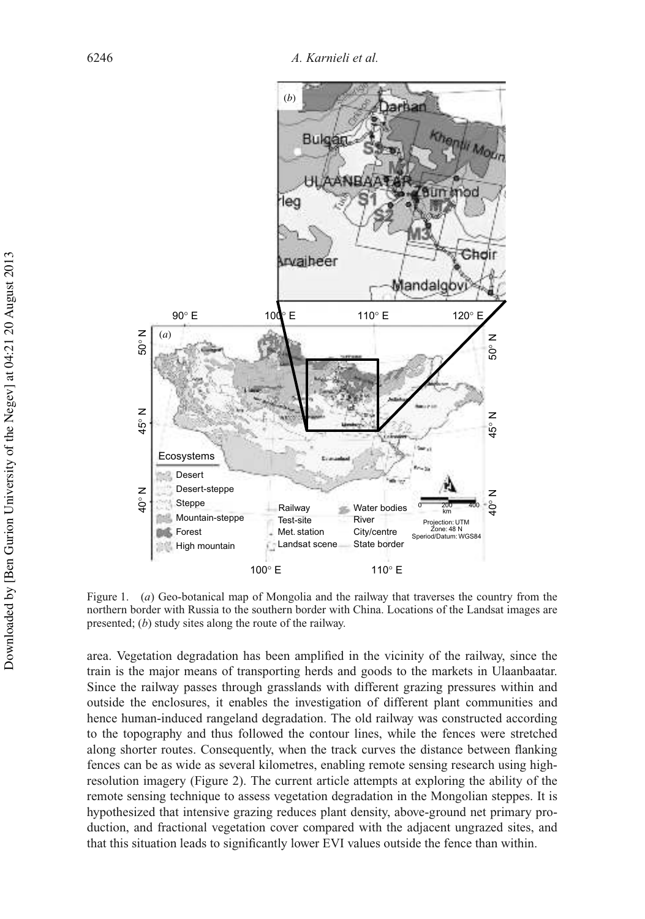

Figure 1. (*a*) Geo-botanical map of Mongolia and the railway that traverses the country from the northern border with Russia to the southern border with China. Locations of the Landsat images are presented; (*b*) study sites along the route of the railway.

area. Vegetation degradation has been amplified in the vicinity of the railway, since the train is the major means of transporting herds and goods to the markets in Ulaanbaatar. Since the railway passes through grasslands with different grazing pressures within and outside the enclosures, it enables the investigation of different plant communities and hence human-induced rangeland degradation. The old railway was constructed according to the topography and thus followed the contour lines, while the fences were stretched along shorter routes. Consequently, when the track curves the distance between flanking fences can be as wide as several kilometres, enabling remote sensing research using highresolution imagery (Figure 2). The current article attempts at exploring the ability of the remote sensing technique to assess vegetation degradation in the Mongolian steppes. It is hypothesized that intensive grazing reduces plant density, above-ground net primary production, and fractional vegetation cover compared with the adjacent ungrazed sites, and that this situation leads to significantly lower EVI values outside the fence than within.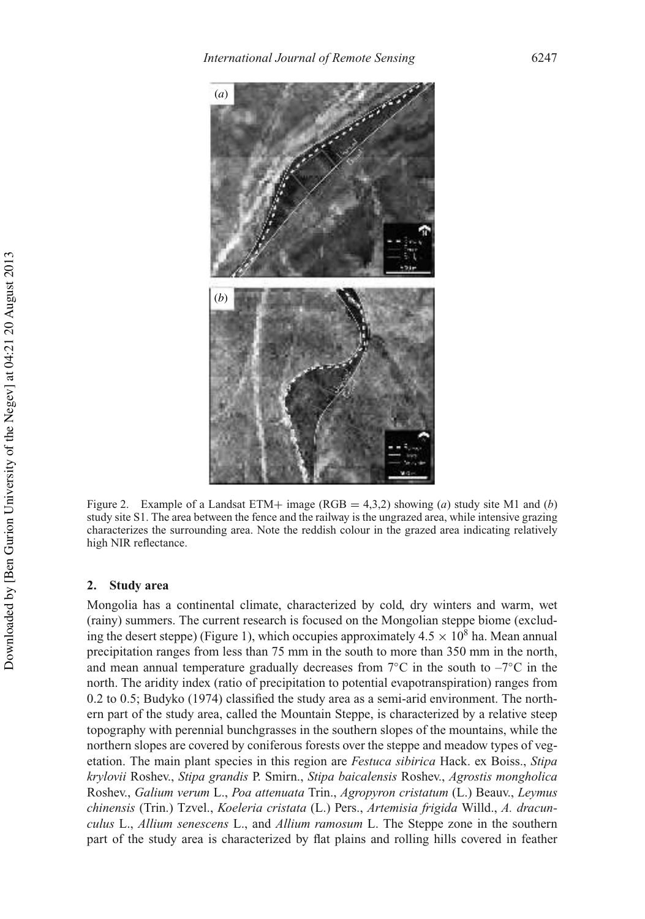

Figure 2. Example of a Landsat ETM+ image (RGB = 4,3,2) showing (*a*) study site M1 and (*b*) study site S1. The area between the fence and the railway is the ungrazed area, while intensive grazing characterizes the surrounding area. Note the reddish colour in the grazed area indicating relatively high NIR reflectance.

### **2. Study area**

Mongolia has a continental climate, characterized by cold, dry winters and warm, wet (rainy) summers. The current research is focused on the Mongolian steppe biome (excluding the desert steppe) (Figure 1), which occupies approximately  $4.5 \times 10^8$  ha. Mean annual precipitation ranges from less than 75 mm in the south to more than 350 mm in the north, and mean annual temperature gradually decreases from 7◦C in the south to –7◦C in the north. The aridity index (ratio of precipitation to potential evapotranspiration) ranges from 0.2 to 0.5; Budyko (1974) classified the study area as a semi-arid environment. The northern part of the study area, called the Mountain Steppe, is characterized by a relative steep topography with perennial bunchgrasses in the southern slopes of the mountains, while the northern slopes are covered by coniferous forests over the steppe and meadow types of vegetation. The main plant species in this region are *Festuca sibirica* Hack. ex Boiss., *Stipa krylovii* Roshev., *Stipa grandis* P. Smirn., *Stipa baicalensis* Roshev., *Agrostis mongholica* Roshev., *Galium verum* L., *Poa attenuata* Trin., *Agropyron cristatum* (L.) Beauv., *Leymus chinensis* (Trin.) Tzvel., *Koeleria cristata* (L.) Pers., *Artemisia frigida* Willd., *A. dracunculus* L., *Allium senescens* L., and *Allium ramosum* L. The Steppe zone in the southern part of the study area is characterized by flat plains and rolling hills covered in feather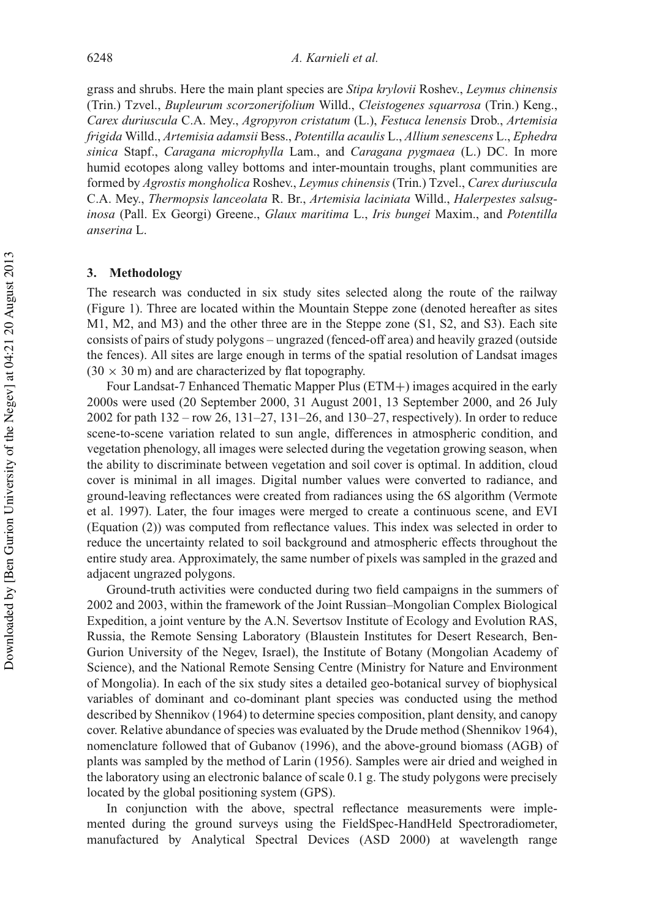grass and shrubs. Here the main plant species are *Stipa krylovii* Roshev., *Leymus chinensis* (Trin.) Tzvel., *Bupleurum scorzonerifolium* Willd., *Cleistogenes squarrosa* (Trin.) Keng., *Carex duriuscula* C.A. Mey., *Agropyron cristatum* (L.), *Festuca lenensis* Drob., *Artemisia frigida* Willd., *Artemisia adamsii* Bess., *Potentilla acaulis* L., *Allium senescens* L., *Ephedra sinica* Stapf., *Caragana microphylla* Lam., and *Caragana pygmaea* (L.) DC. In more humid ecotopes along valley bottoms and inter-mountain troughs, plant communities are formed by *Agrostis mongholica* Roshev., *Leymus chinensis* (Trin.) Tzvel., *Carex duriuscula* C.A. Mey., *Thermopsis lanceolata* R. Br., *Artemisia laciniata* Willd., *Halerpestes salsuginosa* (Pall. Ex Georgi) Greene., *Glaux maritima* L., *Iris bungei* Maxim., and *Potentilla anserina* L.

# **3. Methodology**

The research was conducted in six study sites selected along the route of the railway (Figure 1). Three are located within the Mountain Steppe zone (denoted hereafter as sites M1, M2, and M3) and the other three are in the Steppe zone (S1, S2, and S3). Each site consists of pairs of study polygons – ungrazed (fenced-off area) and heavily grazed (outside the fences). All sites are large enough in terms of the spatial resolution of Landsat images  $(30 \times 30 \text{ m})$  and are characterized by flat topography.

Four Landsat-7 Enhanced Thematic Mapper Plus (ETM+) images acquired in the early 2000s were used (20 September 2000, 31 August 2001, 13 September 2000, and 26 July 2002 for path 132 – row 26, 131–27, 131–26, and 130–27, respectively). In order to reduce scene-to-scene variation related to sun angle, differences in atmospheric condition, and vegetation phenology, all images were selected during the vegetation growing season, when the ability to discriminate between vegetation and soil cover is optimal. In addition, cloud cover is minimal in all images. Digital number values were converted to radiance, and ground-leaving reflectances were created from radiances using the 6S algorithm (Vermote et al. 1997). Later, the four images were merged to create a continuous scene, and EVI (Equation (2)) was computed from reflectance values. This index was selected in order to reduce the uncertainty related to soil background and atmospheric effects throughout the entire study area. Approximately, the same number of pixels was sampled in the grazed and adjacent ungrazed polygons.

Ground-truth activities were conducted during two field campaigns in the summers of 2002 and 2003, within the framework of the Joint Russian–Mongolian Complex Biological Expedition, a joint venture by the A.N. Severtsov Institute of Ecology and Evolution RAS, Russia, the Remote Sensing Laboratory (Blaustein Institutes for Desert Research, Ben-Gurion University of the Negev, Israel), the Institute of Botany (Mongolian Academy of Science), and the National Remote Sensing Centre (Ministry for Nature and Environment of Mongolia). In each of the six study sites a detailed geo-botanical survey of biophysical variables of dominant and co-dominant plant species was conducted using the method described by Shennikov (1964) to determine species composition, plant density, and canopy cover. Relative abundance of species was evaluated by the Drude method (Shennikov 1964), nomenclature followed that of Gubanov (1996), and the above-ground biomass (AGB) of plants was sampled by the method of Larin (1956). Samples were air dried and weighed in the laboratory using an electronic balance of scale 0.1 g. The study polygons were precisely located by the global positioning system (GPS).

In conjunction with the above, spectral reflectance measurements were implemented during the ground surveys using the FieldSpec-HandHeld Spectroradiometer, manufactured by Analytical Spectral Devices (ASD 2000) at wavelength range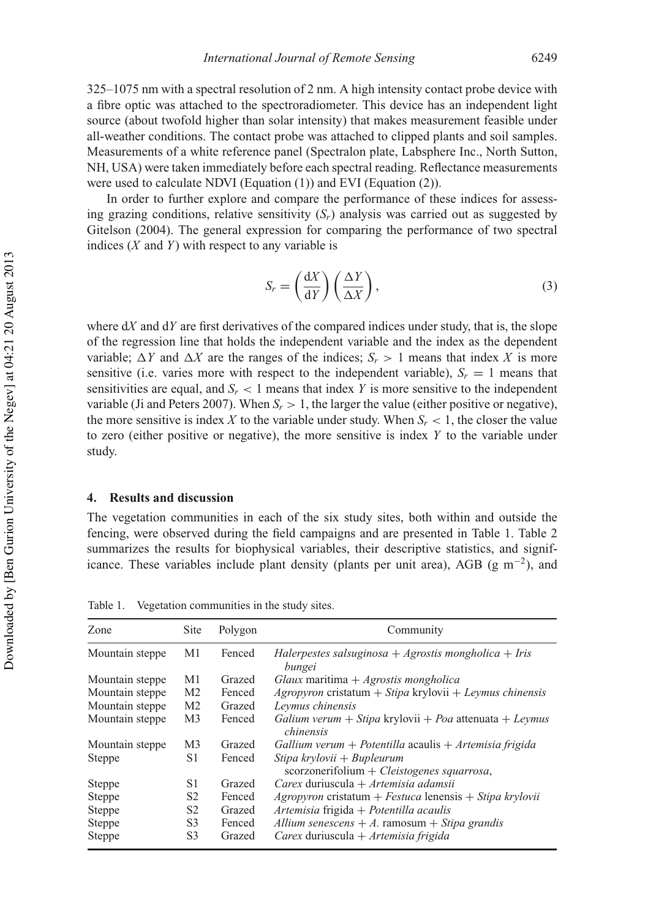325–1075 nm with a spectral resolution of 2 nm. A high intensity contact probe device with a fibre optic was attached to the spectroradiometer. This device has an independent light source (about twofold higher than solar intensity) that makes measurement feasible under all-weather conditions. The contact probe was attached to clipped plants and soil samples. Measurements of a white reference panel (Spectralon plate, Labsphere Inc., North Sutton, NH, USA) were taken immediately before each spectral reading. Reflectance measurements were used to calculate NDVI (Equation (1)) and EVI (Equation (2)).

In order to further explore and compare the performance of these indices for assessing grazing conditions, relative sensitivity (*Sr*) analysis was carried out as suggested by Gitelson (2004). The general expression for comparing the performance of two spectral indices (*X* and *Y*) with respect to any variable is

$$
S_r = \left(\frac{\mathrm{d}X}{\mathrm{d}Y}\right)\left(\frac{\Delta Y}{\Delta X}\right),\tag{3}
$$

where d*X* and d*Y* are first derivatives of the compared indices under study, that is, the slope of the regression line that holds the independent variable and the index as the dependent variable;  $\Delta Y$  and  $\Delta X$  are the ranges of the indices;  $S_r > 1$  means that index X is more sensitive (i.e. varies more with respect to the independent variable),  $S_r = 1$  means that sensitivities are equal, and  $S_r < 1$  means that index Y is more sensitive to the independent variable (Ji and Peters 2007). When  $S_r > 1$ , the larger the value (either positive or negative), the more sensitive is index *X* to the variable under study. When  $S_r < 1$ , the closer the value to zero (either positive or negative), the more sensitive is index *Y* to the variable under study.

#### **4. Results and discussion**

The vegetation communities in each of the six study sites, both within and outside the fencing, were observed during the field campaigns and are presented in Table 1. Table 2 summarizes the results for biophysical variables, their descriptive statistics, and significance. These variables include plant density (plants per unit area), AGB (g m<sup>-2</sup>), and

Table 1. Vegetation communities in the study sites.

| Zone            | <b>Site</b>    | Polygon | Community                                                                |
|-----------------|----------------|---------|--------------------------------------------------------------------------|
| Mountain steppe | M1             | Fenced  | Halerpestes salsuginosa + Agrostis mongholica + Iris<br>bungei           |
| Mountain steppe | M1             | Grazed  | Glaux maritima $+$ Agrostis mongholica                                   |
| Mountain steppe | M <sub>2</sub> | Fenced  | $A groupyron$ cristatum + Stipa krylovii + Leymus chinensis              |
| Mountain steppe | M <sub>2</sub> | Grazed  | Leymus chinensis                                                         |
| Mountain steppe | M <sub>3</sub> | Fenced  | Galium verum + Stipa krylovii + Poa attenuata + Leymus<br>chinensis      |
| Mountain steppe | M <sub>3</sub> | Grazed  | Gallium verum + Potentilla acaulis + Artemisia frigida                   |
| <b>Steppe</b>   | S1             | Fenced  | Stipa krylovii + Bupleurum<br>scorzonerifolium + Cleistogenes squarrosa, |
| <b>Steppe</b>   | S1             | Grazed  | Carex duriuscula + Artemisia adamsii                                     |
| <b>Steppe</b>   | S2             | Fenced  | $A group vron$ cristatum + Festuca lenensis + Stipa krylovii             |
| <b>Steppe</b>   | S <sub>2</sub> | Grazed  | Artemisia frigida + Potentilla acaulis                                   |
| <b>Steppe</b>   | S3             | Fenced  | Allium senescens $+ A$ . ramosum $+ S$ tipa grandis                      |
| Steppe          | S <sub>3</sub> | Grazed  | Carex duriuscula + Artemisia frigida                                     |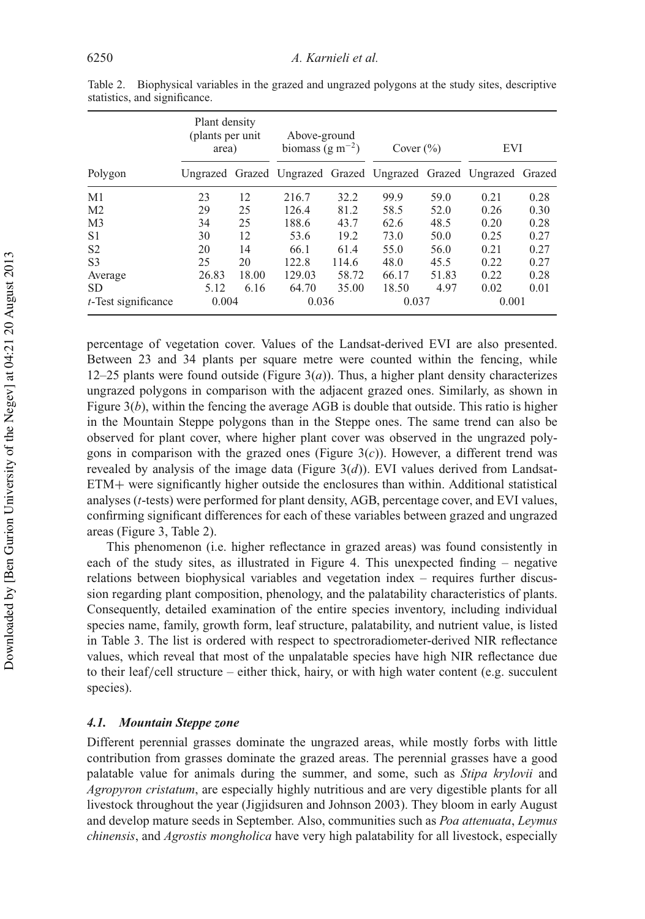|                        | Plant density<br>(plants per unit)<br>area) |       | Above-ground<br>biomass $(g m^{-2})$ |       | Cover $(\% )$ |       | <b>EVI</b>                                                      |      |
|------------------------|---------------------------------------------|-------|--------------------------------------|-------|---------------|-------|-----------------------------------------------------------------|------|
| Polygon                |                                             |       |                                      |       |               |       | Ungrazed Grazed Ungrazed Grazed Ungrazed Grazed Ungrazed Grazed |      |
| M1                     | 23                                          | 12    | 216.7                                | 32.2  | 99.9          | 59.0  | 0.21                                                            | 0.28 |
| M <sub>2</sub>         | 29                                          | 25    | 126.4                                | 81.2  | 58.5          | 52.0  | 0.26                                                            | 0.30 |
| M <sub>3</sub>         | 34                                          | 25    | 188.6                                | 43.7  | 62.6          | 48.5  | 0.20                                                            | 0.28 |
| S1                     | 30                                          | 12    | 53.6                                 | 19.2  | 73.0          | 50.0  | 0.25                                                            | 0.27 |
| S <sub>2</sub>         | 20                                          | 14    | 66.1                                 | 61.4  | 55.0          | 56.0  | 0.21                                                            | 0.27 |
| S <sub>3</sub>         | 25                                          | 20    | 122.8                                | 114.6 | 48.0          | 45.5  | 0.22                                                            | 0.27 |
| Average                | 26.83                                       | 18.00 | 129.03                               | 58.72 | 66.17         | 51.83 | 0.22                                                            | 0.28 |
| <b>SD</b>              | 5.12                                        | 6.16  | 64.70                                | 35.00 | 18.50         | 4.97  | 0.02                                                            | 0.01 |
| $t$ -Test significance | 0.004                                       |       | 0.036                                |       | 0.037         |       | 0.001                                                           |      |

Table 2. Biophysical variables in the grazed and ungrazed polygons at the study sites, descriptive statistics, and significance.

percentage of vegetation cover. Values of the Landsat-derived EVI are also presented. Between 23 and 34 plants per square metre were counted within the fencing, while 12–25 plants were found outside (Figure 3(*a*)). Thus, a higher plant density characterizes ungrazed polygons in comparison with the adjacent grazed ones. Similarly, as shown in Figure 3(*b*), within the fencing the average AGB is double that outside. This ratio is higher in the Mountain Steppe polygons than in the Steppe ones. The same trend can also be observed for plant cover, where higher plant cover was observed in the ungrazed polygons in comparison with the grazed ones (Figure  $3(c)$ ). However, a different trend was revealed by analysis of the image data (Figure 3(*d*)). EVI values derived from Landsat-ETM+ were significantly higher outside the enclosures than within. Additional statistical analyses (*t*-tests) were performed for plant density, AGB, percentage cover, and EVI values, confirming significant differences for each of these variables between grazed and ungrazed areas (Figure 3, Table 2).

This phenomenon (i.e. higher reflectance in grazed areas) was found consistently in each of the study sites, as illustrated in Figure 4. This unexpected finding – negative relations between biophysical variables and vegetation index – requires further discussion regarding plant composition, phenology, and the palatability characteristics of plants. Consequently, detailed examination of the entire species inventory, including individual species name, family, growth form, leaf structure, palatability, and nutrient value, is listed in Table 3. The list is ordered with respect to spectroradiometer-derived NIR reflectance values, which reveal that most of the unpalatable species have high NIR reflectance due to their leaf/cell structure – either thick, hairy, or with high water content (e.g. succulent species).

# *4.1. Mountain Steppe zone*

Different perennial grasses dominate the ungrazed areas, while mostly forbs with little contribution from grasses dominate the grazed areas. The perennial grasses have a good palatable value for animals during the summer, and some, such as *Stipa krylovii* and *Agropyron cristatum*, are especially highly nutritious and are very digestible plants for all livestock throughout the year (Jigjidsuren and Johnson 2003). They bloom in early August and develop mature seeds in September. Also, communities such as *Poa attenuata*, *Leymus chinensis*, and *Agrostis mongholica* have very high palatability for all livestock, especially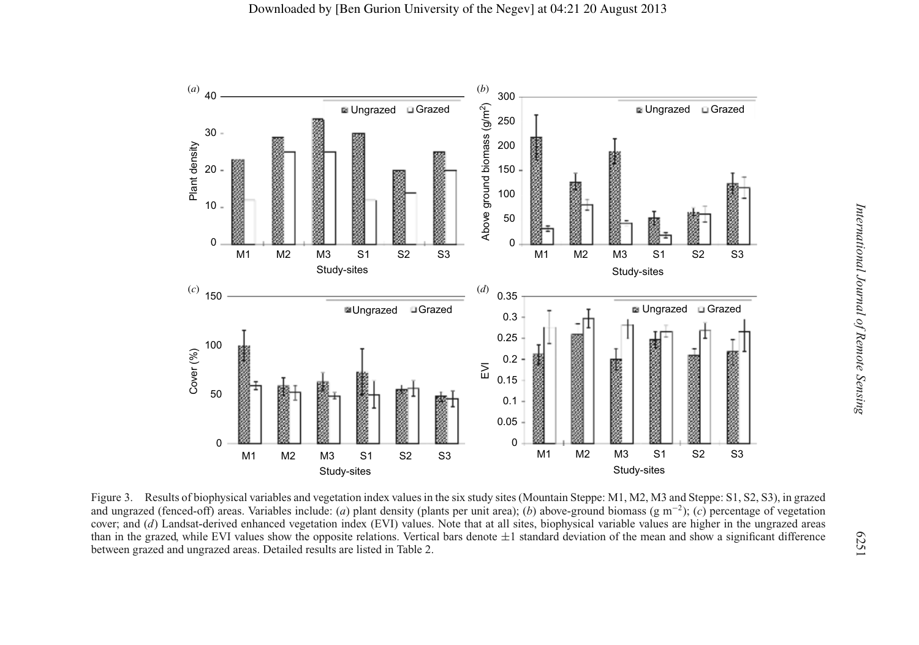

Figure 3. Results of biophysical variables and vegetation index values in the six study sites (Mountain Steppe: M1, M2, M3 and Steppe: S1, S2, S3), in grazed and ungrazed (fenced-off) areas. Variables include: (*a*) <sup>p</sup>lant density (plants per unit area); (*b*) above-ground biomass (g <sup>m</sup><sup>−</sup><sup>2</sup>); (*c*) percentage of vegetation cover; and (*d*) Landsat-derived enhanced vegetation index (EVI) values. Note that at all sites, biophysical variable values are higher in the ungrazed areasthan in the grazed, while EVI values show the opposite relations. Vertical bars denote  $\pm 1$  standard deviation of the mean and show a significant difference between grazed and ungrazed areas. Detailed results are listed in Table 2.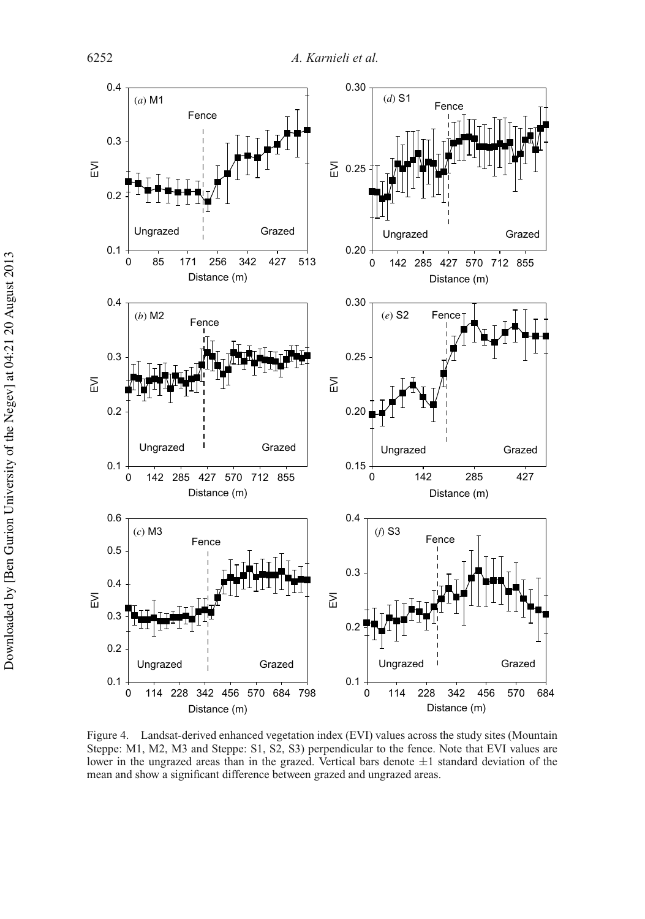

Figure 4. Landsat-derived enhanced vegetation index (EVI) values across the study sites (Mountain Steppe: M1, M2, M3 and Steppe: S1, S2, S3) perpendicular to the fence. Note that EVI values are lower in the ungrazed areas than in the grazed. Vertical bars denote  $\pm 1$  standard deviation of the mean and show a significant difference between grazed and ungrazed areas.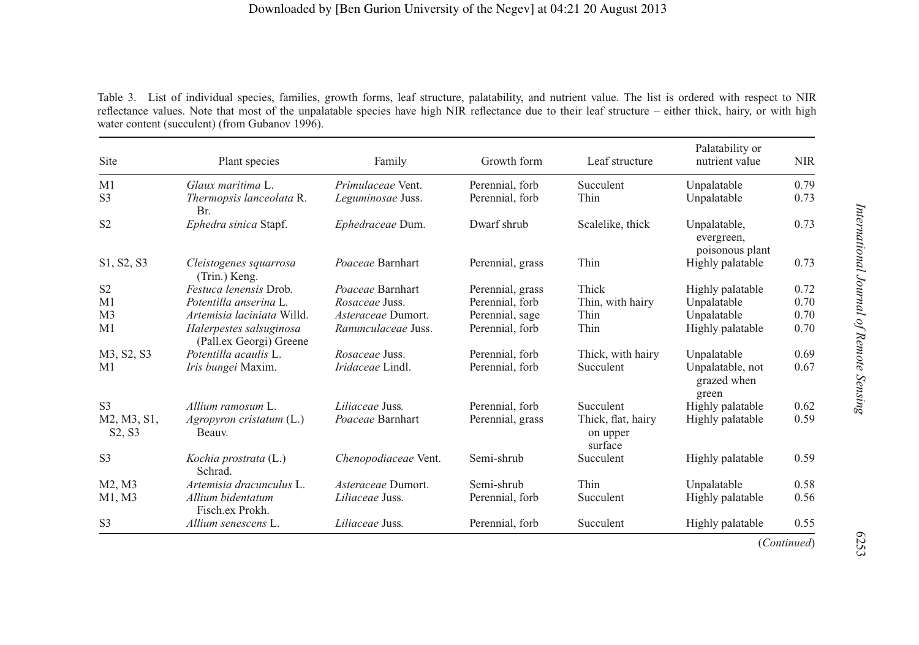Table 3. List of individual species, families, growth forms, leaf structure, palatability, and nutrient value. The list is ordered with respec<sup>t</sup> to NIR reflectance values. Note that most of the unpalatable species have high NIR reflectance due to their leaf structure – either thick, hairy, or with highwater content (succulent) (from Gubanov 1996).

| <b>Site</b>                                    | Plant species                                      | Family                  | Growth form      | Leaf structure                            | Palatability or<br>nutrient value             | <b>NIR</b> |
|------------------------------------------------|----------------------------------------------------|-------------------------|------------------|-------------------------------------------|-----------------------------------------------|------------|
| M <sub>1</sub>                                 | Glaux maritima L.                                  | Primulaceae Vent.       | Perennial, forb  | Succulent                                 | Unpalatable                                   | 0.79       |
| S <sub>3</sub>                                 | Thermopsis lanceolata R.<br>Br.                    | Leguminosae Juss.       | Perennial, forb  | Thin                                      | Unpalatable                                   | 0.73       |
| S <sub>2</sub>                                 | Ephedra sinica Stapf.                              | Ephedraceae Dum.        | Dwarf shrub      | Scalelike, thick                          | Unpalatable,<br>evergreen,<br>poisonous plant | 0.73       |
| S1, S2, S3                                     | Cleistogenes squarrosa<br>(Trin.) Keng.            | Poaceae Barnhart        | Perennial, grass | Thin                                      | Highly palatable                              | 0.73       |
| S <sub>2</sub>                                 | Festuca lenensis Drob.                             | Poaceae Barnhart        | Perennial, grass | Thick                                     | Highly palatable                              | 0.72       |
| M1                                             | Potentilla anserina L.                             | Rosaceae Juss.          | Perennial, forb  | Thin, with hairy                          | Unpalatable                                   | 0.70       |
| M <sub>3</sub>                                 | Artemisia laciniata Willd.                         | Asteraceae Dumort.      | Perennial, sage  | Thin                                      | Unpalatable                                   | 0.70       |
| M1                                             | Halerpestes salsuginosa<br>(Pall.ex Georgi) Greene | Ranunculaceae Juss.     | Perennial, forb  | Thin                                      | Highly palatable                              | 0.70       |
| M3, S2, S3                                     | Potentilla acaulis L.                              | Rosaceae Juss.          | Perennial, forb  | Thick, with hairy                         | Unpalatable                                   | 0.69       |
| M1                                             | <i>Iris bungei</i> Maxim.                          | <i>Iridaceae</i> Lindl. | Perennial, forb  | Succulent                                 | Unpalatable, not<br>grazed when<br>green      | 0.67       |
| S <sub>3</sub>                                 | Allium ramosum L.                                  | Liliaceae Juss.         | Perennial, forb  | Succulent                                 | Highly palatable                              | 0.62       |
| M2, M3, S1,<br>S <sub>2</sub> , S <sub>3</sub> | $A$ gropyron cristatum $(L)$<br>Beauv.             | Poaceae Barnhart        | Perennial, grass | Thick, flat, hairy<br>on upper<br>surface | Highly palatable                              | 0.59       |
| S <sub>3</sub>                                 | Kochia prostrata (L.)<br>Schrad.                   | Chenopodiaceae Vent.    | Semi-shrub       | Succulent                                 | Highly palatable                              | 0.59       |
| M2, M3                                         | Artemisia dracunculus L.                           | Asteraceae Dumort.      | Semi-shrub       | Thin                                      | Unpalatable                                   | 0.58       |
| M1, M3                                         | Allium bidentatum<br>Fisch.ex Prokh.               | Liliaceae Juss.         | Perennial, forb  | Succulent                                 | Highly palatable                              | 0.56       |
| S <sub>3</sub>                                 | Allium senescens L.                                | Liliaceae Juss.         | Perennial, forb  | Succulent                                 | Highly palatable                              | 0.55       |

6253

(*Continued*)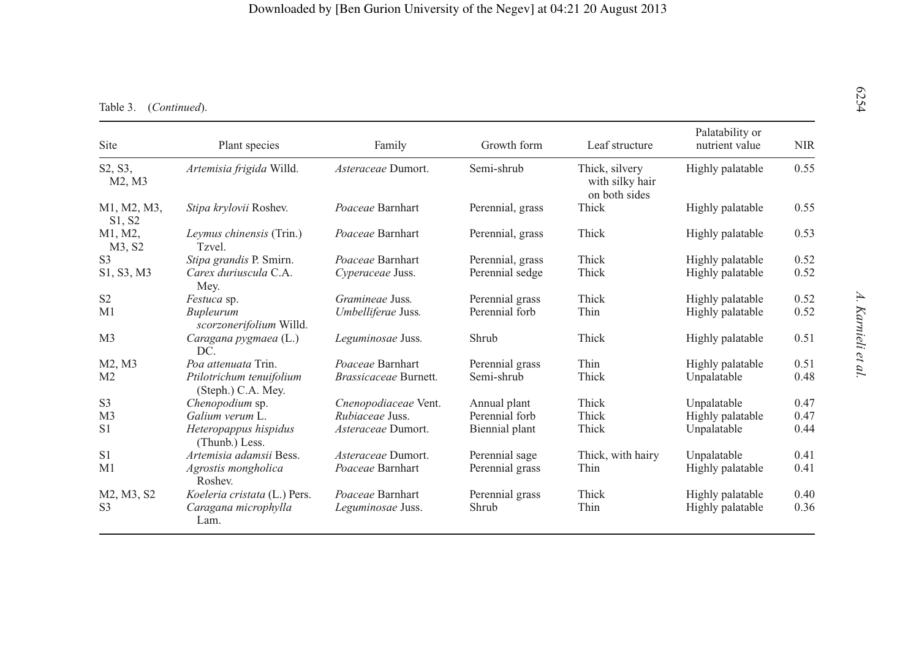|                       |                                                |                       |                  |                                                    | Palatability or  |            |
|-----------------------|------------------------------------------------|-----------------------|------------------|----------------------------------------------------|------------------|------------|
| Site                  | Plant species                                  | Family                | Growth form      | Leaf structure                                     | nutrient value   | <b>NIR</b> |
| S2, S3,<br>M2, M3     | Artemisia frigida Willd.                       | Asteraceae Dumort.    | Semi-shrub       | Thick, silvery<br>with silky hair<br>on both sides | Highly palatable | 0.55       |
| M1, M2, M3,<br>S1, S2 | Stipa krylovii Roshev.                         | Poaceae Barnhart      | Perennial, grass | Thick                                              | Highly palatable | 0.55       |
| M1, M2,<br>M3, S2     | Leymus chinensis (Trin.)<br>Tzvel.             | Poaceae Barnhart      | Perennial, grass | Thick                                              | Highly palatable | 0.53       |
| S <sub>3</sub>        | Stipa grandis P. Smirn.                        | Poaceae Barnhart      | Perennial, grass | Thick                                              | Highly palatable | 0.52       |
| S1, S3, M3            | Carex duriuscula C.A.<br>Mey.                  | Cyperaceae Juss.      | Perennial sedge  | Thick                                              | Highly palatable | 0.52       |
| S <sub>2</sub>        | <i>Festuca</i> sp.                             | Gramineae Juss.       | Perennial grass  | Thick                                              | Highly palatable | 0.52       |
| M1                    | <b>Bupleurum</b><br>scorzonerifolium Willd.    | Umbelliferae Juss.    | Perennial forb   | Thin                                               | Highly palatable | 0.52       |
| M <sub>3</sub>        | Caragana pygmaea (L.)<br>DC.                   | Leguminosae Juss.     | Shrub            | Thick                                              | Highly palatable | 0.51       |
| M2, M3                | Poa attenuata Trin.                            | Poaceae Barnhart      | Perennial grass  | Thin                                               | Highly palatable | 0.51       |
| M <sub>2</sub>        | Ptilotrichum tenuifolium<br>(Steph.) C.A. Mey. | Brassicaceae Burnett. | Semi-shrub       | Thick                                              | Unpalatable      | 0.48       |
| S <sub>3</sub>        | Chenopodium sp.                                | Cnenopodiaceae Vent.  | Annual plant     | Thick                                              | Unpalatable      | 0.47       |
| M <sub>3</sub>        | Galium verum L.                                | Rubiaceae Juss.       | Perennial forb   | Thick                                              | Highly palatable | 0.47       |
| S <sub>1</sub>        | Heteropappus hispidus<br>(Thunb.) Less.        | Asteraceae Dumort.    | Biennial plant   | Thick                                              | Unpalatable      | 0.44       |
| S <sub>1</sub>        | Artemisia adamsii Bess.                        | Asteraceae Dumort.    | Perennial sage   | Thick, with hairy                                  | Unpalatable      | 0.41       |
| M1                    | Agrostis mongholica<br>Roshev.                 | Poaceae Barnhart      | Perennial grass  | Thin                                               | Highly palatable | 0.41       |
| M2, M3, S2            | Koeleria cristata (L.) Pers.                   | Poaceae Barnhart      | Perennial grass  | Thick                                              | Highly palatable | 0.40       |
| S <sub>3</sub>        | Caragana microphylla<br>Lam.                   | Leguminosae Juss.     | Shrub            | Thin                                               | Highly palatable | 0.36       |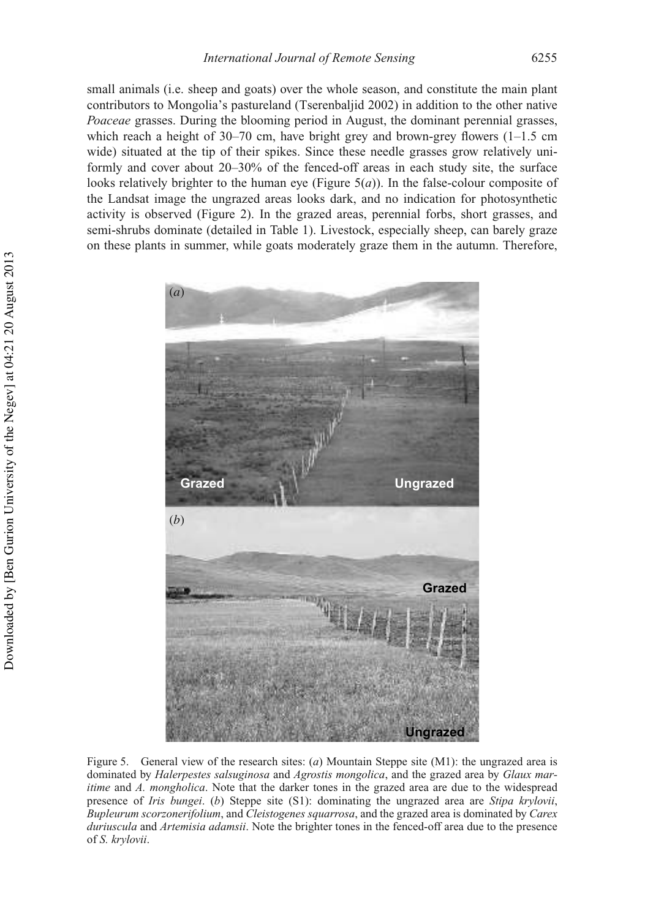small animals (i.e. sheep and goats) over the whole season, and constitute the main plant contributors to Mongolia's pastureland (Tserenbaljid 2002) in addition to the other native *Poaceae* grasses. During the blooming period in August, the dominant perennial grasses, which reach a height of  $30-70$  cm, have bright grey and brown-grey flowers  $(1-1.5 \text{ cm})$ wide) situated at the tip of their spikes. Since these needle grasses grow relatively uniformly and cover about 20–30% of the fenced-off areas in each study site, the surface looks relatively brighter to the human eye (Figure 5(*a*)). In the false-colour composite of the Landsat image the ungrazed areas looks dark, and no indication for photosynthetic activity is observed (Figure 2). In the grazed areas, perennial forbs, short grasses, and semi-shrubs dominate (detailed in Table 1). Livestock, especially sheep, can barely graze on these plants in summer, while goats moderately graze them in the autumn. Therefore,



Figure 5. General view of the research sites: (*a*) Mountain Steppe site (M1): the ungrazed area is dominated by *Halerpestes salsuginosa* and *Agrostis mongolica*, and the grazed area by *Glaux maritime* and *A. mongholica*. Note that the darker tones in the grazed area are due to the widespread presence of *Iris bungei*. (*b*) Steppe site (S1): dominating the ungrazed area are *Stipa krylovii*, *Bupleurum scorzonerifolium*, and *Cleistogenes squarrosa*, and the grazed area is dominated by *Carex duriuscula* and *Artemisia adamsii*. Note the brighter tones in the fenced-off area due to the presence of *S. krylovii*.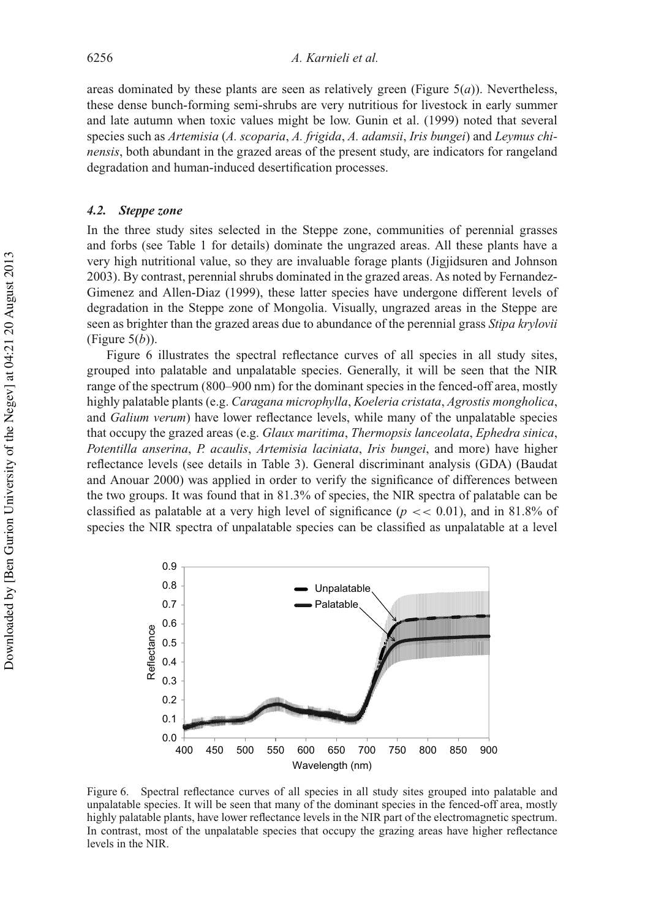areas dominated by these plants are seen as relatively green (Figure  $5(a)$ ). Nevertheless, these dense bunch-forming semi-shrubs are very nutritious for livestock in early summer and late autumn when toxic values might be low. Gunin et al. (1999) noted that several species such as *Artemisia* (*A. scoparia*, *A. frigida*, *A. adamsii*, *Iris bungei*) and *Leymus chinensis*, both abundant in the grazed areas of the present study, are indicators for rangeland degradation and human-induced desertification processes.

# *4.2. Steppe zone*

In the three study sites selected in the Steppe zone, communities of perennial grasses and forbs (see Table 1 for details) dominate the ungrazed areas. All these plants have a very high nutritional value, so they are invaluable forage plants (Jigjidsuren and Johnson 2003). By contrast, perennial shrubs dominated in the grazed areas. As noted by Fernandez-Gimenez and Allen-Diaz (1999), these latter species have undergone different levels of degradation in the Steppe zone of Mongolia. Visually, ungrazed areas in the Steppe are seen as brighter than the grazed areas due to abundance of the perennial grass *Stipa krylovii* (Figure 5(*b*)).

Figure 6 illustrates the spectral reflectance curves of all species in all study sites, grouped into palatable and unpalatable species. Generally, it will be seen that the NIR range of the spectrum (800–900 nm) for the dominant species in the fenced-off area, mostly highly palatable plants (e.g. *Caragana microphylla*, *Koeleria cristata*, *Agrostis mongholica*, and *Galium verum*) have lower reflectance levels, while many of the unpalatable species that occupy the grazed areas (e.g. *Glaux maritima*, *Thermopsis lanceolata*, *Ephedra sinica*, *Potentilla anserina*, *P. acaulis*, *Artemisia laciniata*, *Iris bungei*, and more) have higher reflectance levels (see details in Table 3). General discriminant analysis (GDA) (Baudat and Anouar 2000) was applied in order to verify the significance of differences between the two groups. It was found that in 81.3% of species, the NIR spectra of palatable can be classified as palatable at a very high level of significance  $(p \ll 0.01)$ , and in 81.8% of species the NIR spectra of unpalatable species can be classified as unpalatable at a level



Figure 6. Spectral reflectance curves of all species in all study sites grouped into palatable and unpalatable species. It will be seen that many of the dominant species in the fenced-off area, mostly highly palatable plants, have lower reflectance levels in the NIR part of the electromagnetic spectrum. In contrast, most of the unpalatable species that occupy the grazing areas have higher reflectance levels in the NIR.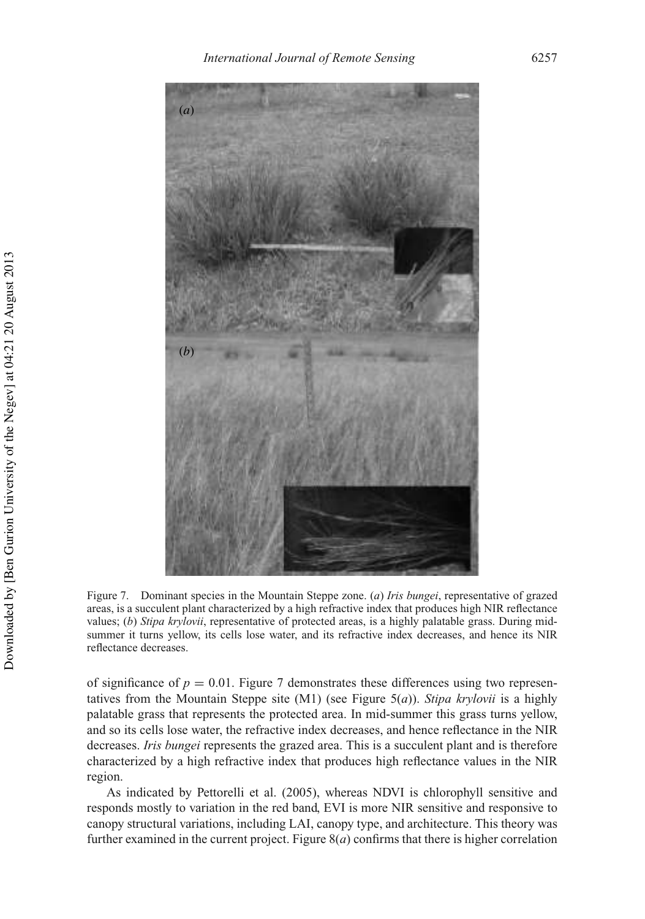

Figure 7. Dominant species in the Mountain Steppe zone. (*a*) *Iris bungei*, representative of grazed areas, is a succulent plant characterized by a high refractive index that produces high NIR reflectance values; (*b*) *Stipa krylovii*, representative of protected areas, is a highly palatable grass. During midsummer it turns yellow, its cells lose water, and its refractive index decreases, and hence its NIR reflectance decreases.

of significance of  $p = 0.01$ . Figure 7 demonstrates these differences using two representatives from the Mountain Steppe site (M1) (see Figure 5(*a*)). *Stipa krylovii* is a highly palatable grass that represents the protected area. In mid-summer this grass turns yellow, and so its cells lose water, the refractive index decreases, and hence reflectance in the NIR decreases. *Iris bungei* represents the grazed area. This is a succulent plant and is therefore characterized by a high refractive index that produces high reflectance values in the NIR region.

As indicated by Pettorelli et al. (2005), whereas NDVI is chlorophyll sensitive and responds mostly to variation in the red band, EVI is more NIR sensitive and responsive to canopy structural variations, including LAI, canopy type, and architecture. This theory was further examined in the current project. Figure 8(*a*) confirms that there is higher correlation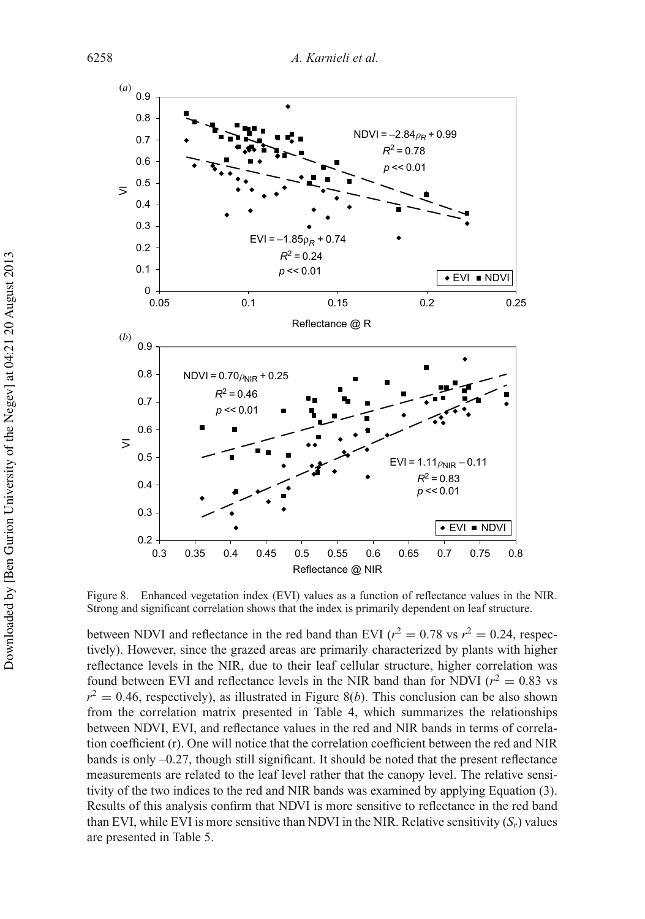

Figure 8. Enhanced vegetation index (EVI) values as a function of reflectance values in the NIR. Strong and significant correlation shows that the index is primarily dependent on leaf structure.

between NDVI and reflectance in the red band than EVI ( $r^2 = 0.78$  vs  $r^2 = 0.24$ , respectively). However, since the grazed areas are primarily characterized by plants with higher reflectance levels in the NIR, due to their leaf cellular structure, higher correlation was found between EVI and reflectance levels in the NIR band than for NDVI  $(r^2 = 0.83 \text{ vs } 0.01)$  $r^2 = 0.46$ , respectively), as illustrated in Figure 8(*b*). This conclusion can be also shown from the correlation matrix presented in Table 4, which summarizes the relationships between NDVI, EVI, and reflectance values in the red and NIR bands in terms of correlation coefficient (r). One will notice that the correlation coefficient between the red and NIR bands is only –0.27, though still significant. It should be noted that the present reflectance measurements are related to the leaf level rather that the canopy level. The relative sensitivity of the two indices to the red and NIR bands was examined by applying Equation (3). Results of this analysis confirm that NDVI is more sensitive to reflectance in the red band than EVI, while EVI is more sensitive than NDVI in the NIR. Relative sensitivity (*Sr*) values are presented in Table 5.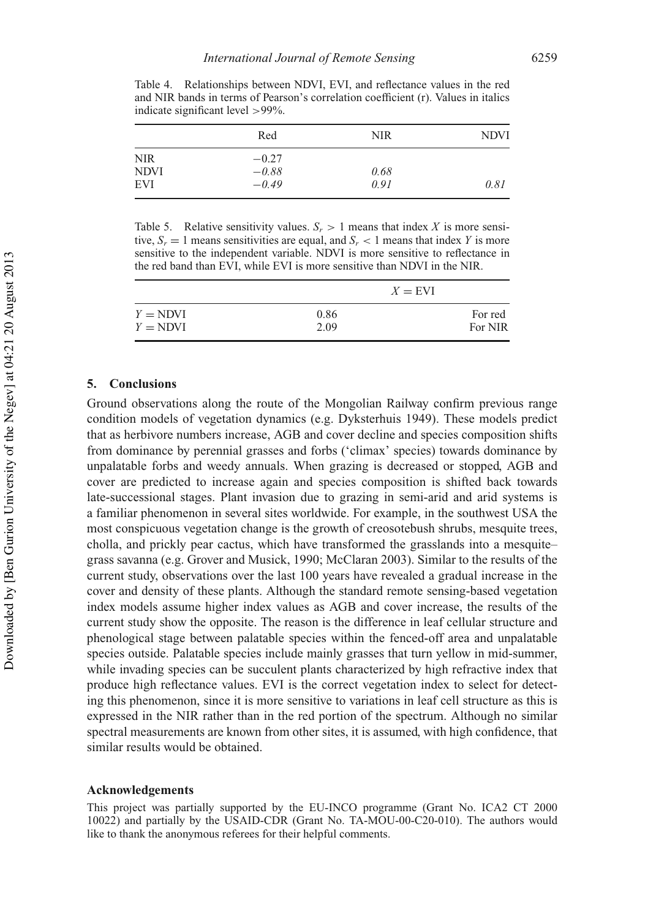Table 4. Relationships between NDVI, EVI, and reflectance values in the red and NIR bands in terms of Pearson's correlation coefficient (r). Values in italics indicate significant level >99%.

|             | Red     | <b>NIR</b> | <b>NDVI</b> |
|-------------|---------|------------|-------------|
| <b>NIR</b>  | $-0.27$ |            |             |
| <b>NDVI</b> | $-0.88$ | 0.68       |             |
| <b>EVI</b>  | $-0.49$ | 0.91       | 0.81        |

Table 5. Relative sensitivity values.  $S_r > 1$  means that index *X* is more sensitive,  $S_r = 1$  means sensitivities are equal, and  $S_r < 1$  means that index *Y* is more sensitive to the independent variable. NDVI is more sensitive to reflectance in the red band than EVI, while EVI is more sensitive than NDVI in the NIR.

|            | $X = EVI$ |         |  |
|------------|-----------|---------|--|
| $Y = NDVI$ | 0.86      | For red |  |
| $Y = NDVI$ | 2.09      | For NIR |  |

## **5. Conclusions**

Ground observations along the route of the Mongolian Railway confirm previous range condition models of vegetation dynamics (e.g. Dyksterhuis 1949). These models predict that as herbivore numbers increase, AGB and cover decline and species composition shifts from dominance by perennial grasses and forbs ('climax' species) towards dominance by unpalatable forbs and weedy annuals. When grazing is decreased or stopped, AGB and cover are predicted to increase again and species composition is shifted back towards late-successional stages. Plant invasion due to grazing in semi-arid and arid systems is a familiar phenomenon in several sites worldwide. For example, in the southwest USA the most conspicuous vegetation change is the growth of creosotebush shrubs, mesquite trees, cholla, and prickly pear cactus, which have transformed the grasslands into a mesquite– grass savanna (e.g. Grover and Musick, 1990; McClaran 2003). Similar to the results of the current study, observations over the last 100 years have revealed a gradual increase in the cover and density of these plants. Although the standard remote sensing-based vegetation index models assume higher index values as AGB and cover increase, the results of the current study show the opposite. The reason is the difference in leaf cellular structure and phenological stage between palatable species within the fenced-off area and unpalatable species outside. Palatable species include mainly grasses that turn yellow in mid-summer, while invading species can be succulent plants characterized by high refractive index that produce high reflectance values. EVI is the correct vegetation index to select for detecting this phenomenon, since it is more sensitive to variations in leaf cell structure as this is expressed in the NIR rather than in the red portion of the spectrum. Although no similar spectral measurements are known from other sites, it is assumed, with high confidence, that similar results would be obtained.

#### **Acknowledgements**

This project was partially supported by the EU-INCO programme (Grant No. ICA2 CT 2000 10022) and partially by the USAID-CDR (Grant No. TA-MOU-00-C20-010). The authors would like to thank the anonymous referees for their helpful comments.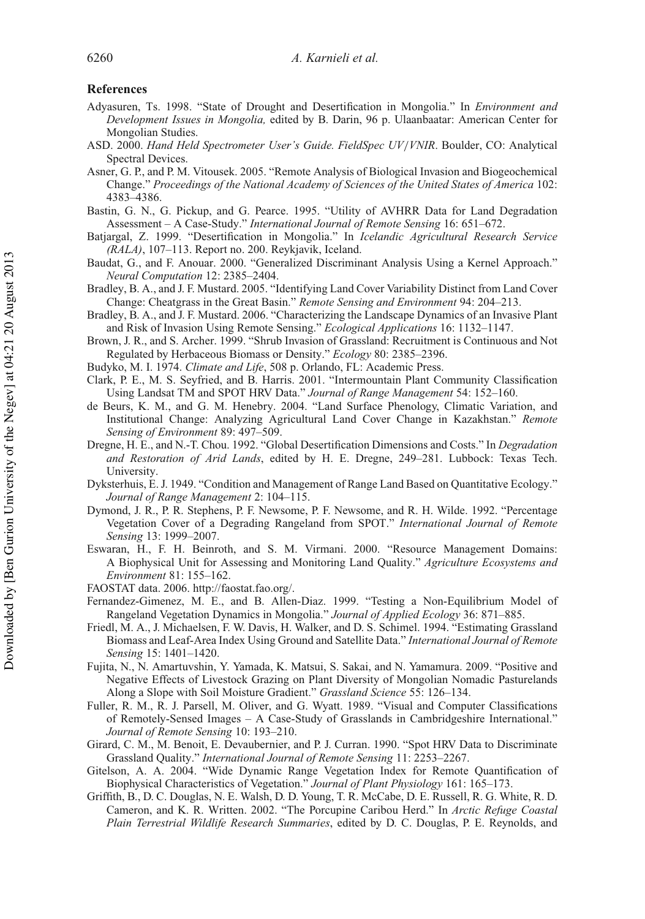#### **References**

- Adyasuren, Ts. 1998. "State of Drought and Desertification in Mongolia." In *Environment and Development Issues in Mongolia,* edited by B. Darin, 96 p. Ulaanbaatar: American Center for Mongolian Studies.
- ASD. 2000. *Hand Held Spectrometer User's Guide. FieldSpec UV*/*VNIR*. Boulder, CO: Analytical Spectral Devices.
- Asner, G. P., and P. M. Vitousek. 2005. "Remote Analysis of Biological Invasion and Biogeochemical Change." *Proceedings of the National Academy of Sciences of the United States of America* 102: 4383–4386.
- Bastin, G. N., G. Pickup, and G. Pearce. 1995. "Utility of AVHRR Data for Land Degradation Assessment – A Case-Study." *International Journal of Remote Sensing* 16: 651–672.
- Batjargal, Z. 1999. "Desertification in Mongolia." In *Icelandic Agricultural Research Service (RALA)*, 107–113. Report no. 200. Reykjavik, Iceland.
- Baudat, G., and F. Anouar. 2000. "Generalized Discriminant Analysis Using a Kernel Approach." *Neural Computation* 12: 2385–2404.
- Bradley, B. A., and J. F. Mustard. 2005. "Identifying Land Cover Variability Distinct from Land Cover Change: Cheatgrass in the Great Basin." *Remote Sensing and Environment* 94: 204–213.
- Bradley, B. A., and J. F. Mustard. 2006. "Characterizing the Landscape Dynamics of an Invasive Plant and Risk of Invasion Using Remote Sensing." *Ecological Applications* 16: 1132–1147.
- Brown, J. R., and S. Archer. 1999. "Shrub Invasion of Grassland: Recruitment is Continuous and Not Regulated by Herbaceous Biomass or Density." *Ecology* 80: 2385–2396.
- Budyko, M. I. 1974. *Climate and Life*, 508 p. Orlando, FL: Academic Press.
- Clark, P. E., M. S. Seyfried, and B. Harris. 2001. "Intermountain Plant Community Classification Using Landsat TM and SPOT HRV Data." *Journal of Range Management* 54: 152–160.
- de Beurs, K. M., and G. M. Henebry. 2004. "Land Surface Phenology, Climatic Variation, and Institutional Change: Analyzing Agricultural Land Cover Change in Kazakhstan." *Remote Sensing of Environment* 89: 497–509.
- Dregne, H. E., and N.-T. Chou. 1992. "Global Desertification Dimensions and Costs." In *Degradation and Restoration of Arid Lands*, edited by H. E. Dregne, 249–281. Lubbock: Texas Tech. University.
- Dyksterhuis, E. J. 1949. "Condition and Management of Range Land Based on Quantitative Ecology." *Journal of Range Management* 2: 104–115.
- Dymond, J. R., P. R. Stephens, P. F. Newsome, P. F. Newsome, and R. H. Wilde. 1992. "Percentage Vegetation Cover of a Degrading Rangeland from SPOT." *International Journal of Remote Sensing* 13: 1999–2007.
- Eswaran, H., F. H. Beinroth, and S. M. Virmani. 2000. "Resource Management Domains: A Biophysical Unit for Assessing and Monitoring Land Quality." *Agriculture Ecosystems and Environment* 81: 155–162.
- FAOSTAT data. 2006. [http://faostat.fao.org/.](http://faostat.fao.org/)
- Fernandez-Gimenez, M. E., and B. Allen-Diaz. 1999. "Testing a Non-Equilibrium Model of Rangeland Vegetation Dynamics in Mongolia." *Journal of Applied Ecology* 36: 871–885.
- Friedl, M. A., J. Michaelsen, F. W. Davis, H. Walker, and D. S. Schimel. 1994. "Estimating Grassland Biomass and Leaf-Area Index Using Ground and Satellite Data." *International Journal of Remote Sensing* 15: 1401–1420.
- Fujita, N., N. Amartuvshin, Y. Yamada, K. Matsui, S. Sakai, and N. Yamamura. 2009. "Positive and Negative Effects of Livestock Grazing on Plant Diversity of Mongolian Nomadic Pasturelands Along a Slope with Soil Moisture Gradient." *Grassland Science* 55: 126–134.
- Fuller, R. M., R. J. Parsell, M. Oliver, and G. Wyatt. 1989. "Visual and Computer Classifications of Remotely-Sensed Images – A Case-Study of Grasslands in Cambridgeshire International." *Journal of Remote Sensing* 10: 193–210.
- Girard, C. M., M. Benoit, E. Devaubernier, and P. J. Curran. 1990. "Spot HRV Data to Discriminate Grassland Quality." *International Journal of Remote Sensing* 11: 2253–2267.
- Gitelson, A. A. 2004. "Wide Dynamic Range Vegetation Index for Remote Quantification of Biophysical Characteristics of Vegetation." *Journal of Plant Physiology* 161: 165–173.
- Griffith, B., D. C. Douglas, N. E. Walsh, D. D. Young, T. R. McCabe, D. E. Russell, R. G. White, R. D. Cameron, and K. R. Written. 2002. "The Porcupine Caribou Herd." In *Arctic Refuge Coastal Plain Terrestrial Wildlife Research Summaries*, edited by D. C. Douglas, P. E. Reynolds, and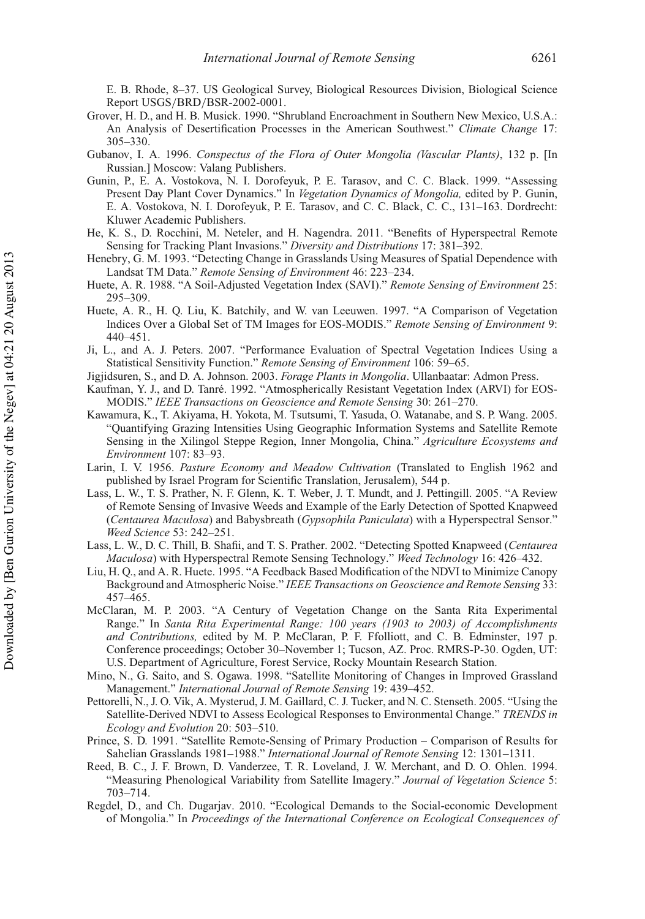E. B. Rhode, 8–37. US Geological Survey, Biological Resources Division, Biological Science Report USGS/BRD/BSR-2002-0001.

- Grover, H. D., and H. B. Musick. 1990. "Shrubland Encroachment in Southern New Mexico, U.S.A.: An Analysis of Desertification Processes in the American Southwest." *Climate Change* 17: 305–330.
- Gubanov, I. A. 1996. *Conspectus of the Flora of Outer Mongolia (Vascular Plants)*, 132 p. [In Russian.] Moscow: Valang Publishers.
- Gunin, P., E. A. Vostokova, N. I. Dorofeyuk, P. E. Tarasov, and C. C. Black. 1999. "Assessing Present Day Plant Cover Dynamics." In *Vegetation Dynamics of Mongolia,* edited by P. Gunin, E. A. Vostokova, N. I. Dorofeyuk, P. E. Tarasov, and C. C. Black, C. C., 131–163. Dordrecht: Kluwer Academic Publishers.
- He, K. S., D. Rocchini, M. Neteler, and H. Nagendra. 2011. "Benefits of Hyperspectral Remote Sensing for Tracking Plant Invasions." *Diversity and Distributions* 17: 381–392.
- Henebry, G. M. 1993. "Detecting Change in Grasslands Using Measures of Spatial Dependence with Landsat TM Data." *Remote Sensing of Environment* 46: 223–234.
- Huete, A. R. 1988. "A Soil-Adjusted Vegetation Index (SAVI)." *Remote Sensing of Environment* 25: 295–309.
- Huete, A. R., H. Q. Liu, K. Batchily, and W. van Leeuwen. 1997. "A Comparison of Vegetation Indices Over a Global Set of TM Images for EOS-MODIS." *Remote Sensing of Environment* 9: 440–451.
- Ji, L., and A. J. Peters. 2007. "Performance Evaluation of Spectral Vegetation Indices Using a Statistical Sensitivity Function." *Remote Sensing of Environment* 106: 59–65.
- Jigjidsuren, S., and D. A. Johnson. 2003. *Forage Plants in Mongolia*. Ullanbaatar: Admon Press.
- Kaufman, Y. J., and D. Tanré. 1992. "Atmospherically Resistant Vegetation Index (ARVI) for EOS-MODIS." *IEEE Transactions on Geoscience and Remote Sensing* 30: 261–270.
- Kawamura, K., T. Akiyama, H. Yokota, M. Tsutsumi, T. Yasuda, O. Watanabe, and S. P. Wang. 2005. "Quantifying Grazing Intensities Using Geographic Information Systems and Satellite Remote Sensing in the Xilingol Steppe Region, Inner Mongolia, China." *Agriculture Ecosystems and Environment* 107: 83–93.
- Larin, I. V. 1956. *Pasture Economy and Meadow Cultivation* (Translated to English 1962 and published by Israel Program for Scientific Translation, Jerusalem), 544 p.
- Lass, L. W., T. S. Prather, N. F. Glenn, K. T. Weber, J. T. Mundt, and J. Pettingill. 2005. "A Review of Remote Sensing of Invasive Weeds and Example of the Early Detection of Spotted Knapweed (*Centaurea Maculosa*) and Babysbreath (*Gypsophila Paniculata*) with a Hyperspectral Sensor." *Weed Science* 53: 242–251.
- Lass, L. W., D. C. Thill, B. Shafii, and T. S. Prather. 2002. "Detecting Spotted Knapweed (*Centaurea Maculosa*) with Hyperspectral Remote Sensing Technology." *Weed Technology* 16: 426–432.
- Liu, H. Q., and A. R. Huete. 1995. "A Feedback Based Modification of the NDVI to Minimize Canopy Background and Atmospheric Noise." *IEEE Transactions on Geoscience and Remote Sensing* 33: 457–465.
- McClaran, M. P. 2003. "A Century of Vegetation Change on the Santa Rita Experimental Range." In *Santa Rita Experimental Range: 100 years (1903 to 2003) of Accomplishments and Contributions,* edited by M. P. McClaran, P. F. Ffolliott, and C. B. Edminster, 197 p. Conference proceedings; October 30–November 1; Tucson, AZ. Proc. RMRS-P-30. Ogden, UT: U.S. Department of Agriculture, Forest Service, Rocky Mountain Research Station.
- Mino, N., G. Saito, and S. Ogawa. 1998. "Satellite Monitoring of Changes in Improved Grassland Management." *International Journal of Remote Sensing* 19: 439–452.
- Pettorelli, N., J. O. Vik, A. Mysterud, J. M. Gaillard, C. J. Tucker, and N. C. Stenseth. 2005. "Using the Satellite-Derived NDVI to Assess Ecological Responses to Environmental Change." *TRENDS in Ecology and Evolution* 20: 503–510.
- Prince, S. D. 1991. "Satellite Remote-Sensing of Primary Production Comparison of Results for Sahelian Grasslands 1981–1988." *International Journal of Remote Sensing* 12: 1301–1311.
- Reed, B. C., J. F. Brown, D. Vanderzee, T. R. Loveland, J. W. Merchant, and D. O. Ohlen. 1994. "Measuring Phenological Variability from Satellite Imagery." *Journal of Vegetation Science* 5: 703–714.
- Regdel, D., and Ch. Dugarjav. 2010. "Ecological Demands to the Social-economic Development of Mongolia." In *Proceedings of the International Conference on Ecological Consequences of*